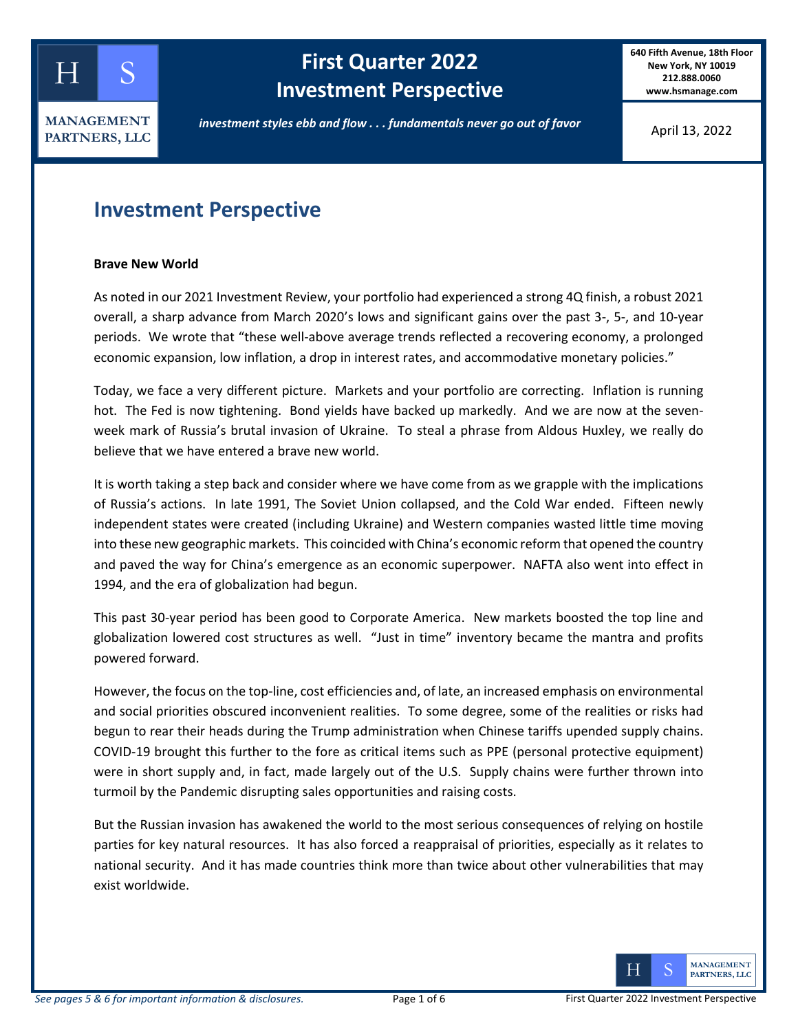

# **kellog First Quarter 2022 Investment Perspective**

**640 Fifth Avenue, 18th Floor New York, NY 10019 212.888.0060 www.hsmanage.com**

*investment styles ebb and flow . . . fundamentals never go out of favor*

April 13, 2022

# **Investment Perspective**

### **Brave New World**

As noted in our 2021 Investment Review, your portfolio had experienced a strong 4Q finish, a robust 2021 overall, a sharp advance from March 2020's lows and significant gains over the past 3-, 5-, and 10-year periods. We wrote that "these well-above average trends reflected a recovering economy, a prolonged economic expansion, low inflation, a drop in interest rates, and accommodative monetary policies."

Today, we face a very different picture. Markets and your portfolio are correcting. Inflation is running hot. The Fed is now tightening. Bond yields have backed up markedly. And we are now at the sevenweek mark of Russia's brutal invasion of Ukraine. To steal a phrase from Aldous Huxley, we really do believe that we have entered a brave new world.

It is worth taking a step back and consider where we have come from as we grapple with the implications of Russia's actions. In late 1991, The Soviet Union collapsed, and the Cold War ended. Fifteen newly independent states were created (including Ukraine) and Western companies wasted little time moving into these new geographic markets. This coincided with China's economic reform that opened the country and paved the way for China's emergence as an economic superpower. NAFTA also went into effect in 1994, and the era of globalization had begun.

This past 30-year period has been good to Corporate America. New markets boosted the top line and globalization lowered cost structures as well. "Just in time" inventory became the mantra and profits powered forward.

However, the focus on the top-line, cost efficiencies and, of late, an increased emphasis on environmental and social priorities obscured inconvenient realities. To some degree, some of the realities or risks had begun to rear their heads during the Trump administration when Chinese tariffs upended supply chains. COVID-19 brought this further to the fore as critical items such as PPE (personal protective equipment) were in short supply and, in fact, made largely out of the U.S. Supply chains were further thrown into turmoil by the Pandemic disrupting sales opportunities and raising costs.

But the Russian invasion has awakened the world to the most serious consequences of relying on hostile parties for key natural resources. It has also forced a reappraisal of priorities, especially as it relates to national security. And it has made countries think more than twice about other vulnerabilities that may exist worldwide.

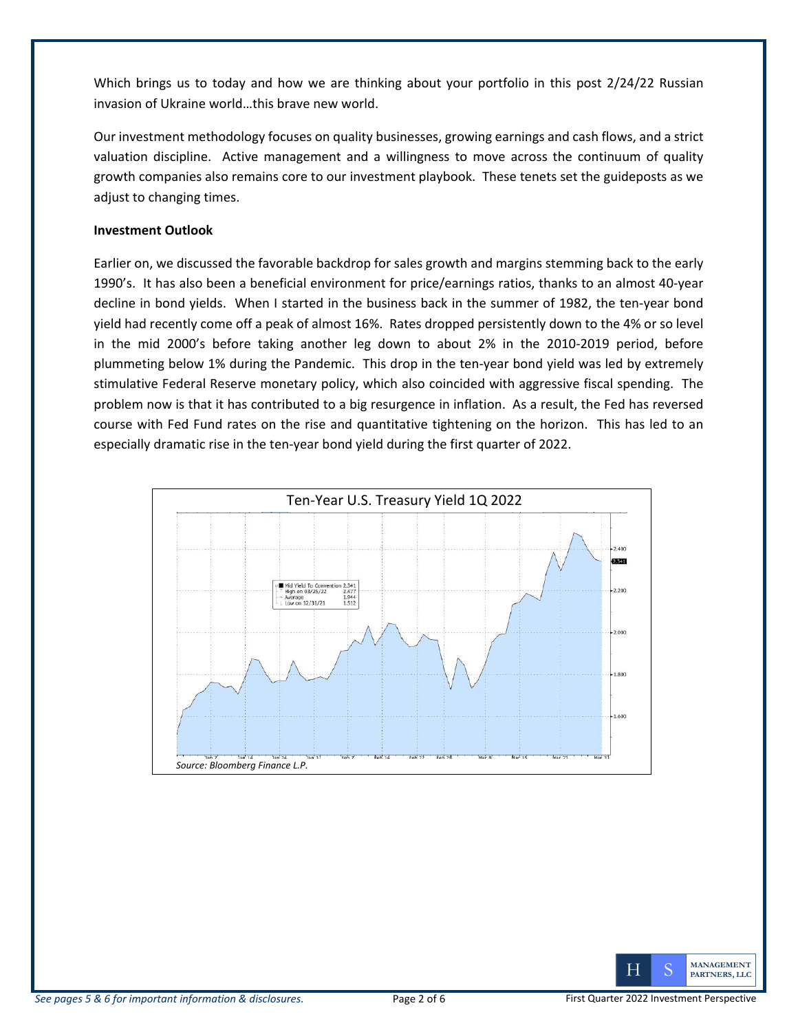Which brings us to today and how we are thinking about your portfolio in this post 2/24/22 Russian invasion of Ukraine world…this brave new world.

Our investment methodology focuses on quality businesses, growing earnings and cash flows, and a strict valuation discipline. Active management and a willingness to move across the continuum of quality growth companies also remains core to our investment playbook. These tenets set the guideposts as we adjust to changing times.

### **Investment Outlook**

Earlier on, we discussed the favorable backdrop for sales growth and margins stemming back to the early 1990's. It has also been a beneficial environment for price/earnings ratios, thanks to an almost 40-year decline in bond yields. When I started in the business back in the summer of 1982, the ten-year bond yield had recently come off a peak of almost 16%. Rates dropped persistently down to the 4% or so level in the mid 2000's before taking another leg down to about 2% in the 2010-2019 period, before plummeting below 1% during the Pandemic. This drop in the ten-year bond yield was led by extremely stimulative Federal Reserve monetary policy, which also coincided with aggressive fiscal spending. The problem now is that it has contributed to a big resurgence in inflation. As a result, the Fed has reversed course with Fed Fund rates on the rise and quantitative tightening on the horizon. This has led to an especially dramatic rise in the ten-year bond yield during the first quarter of 2022.



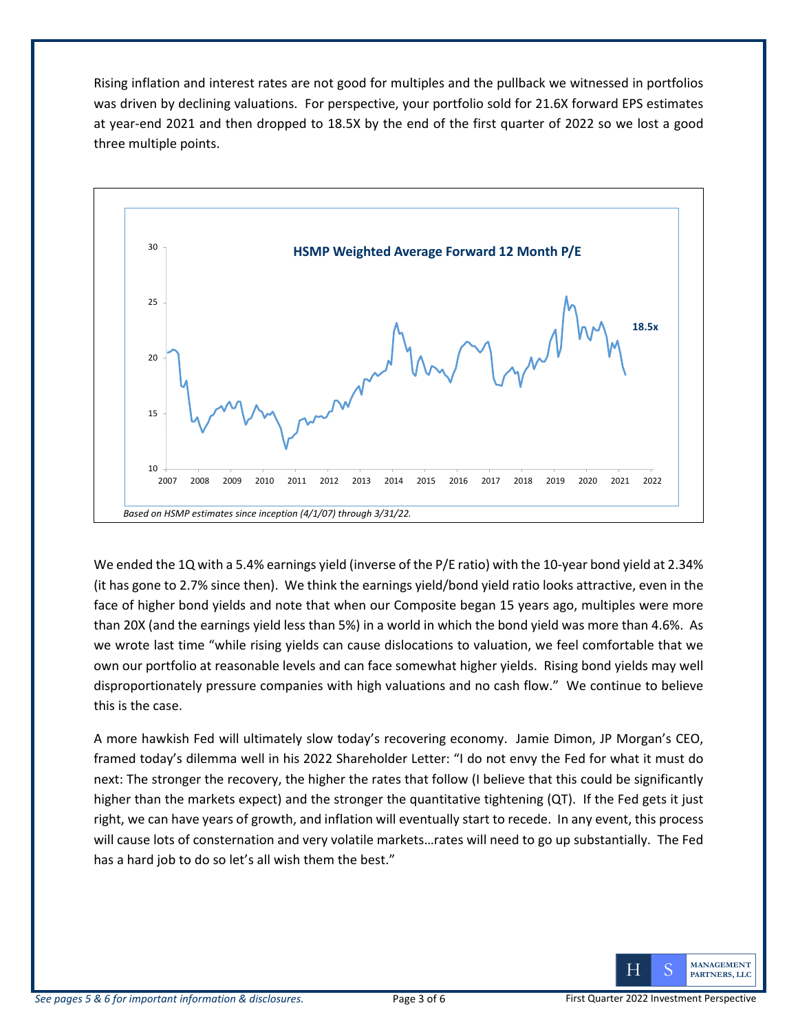Rising inflation and interest rates are not good for multiples and the pullback we witnessed in portfolios was driven by declining valuations. For perspective, your portfolio sold for 21.6X forward EPS estimates at year-end 2021 and then dropped to 18.5X by the end of the first quarter of 2022 so we lost a good three multiple points.



We ended the 1Q with a 5.4% earnings yield (inverse of the P/E ratio) with the 10-year bond yield at 2.34% (it has gone to 2.7% since then). We think the earnings yield/bond yield ratio looks attractive, even in the face of higher bond yields and note that when our Composite began 15 years ago, multiples were more than 20X (and the earnings yield less than 5%) in a world in which the bond yield was more than 4.6%. As we wrote last time "while rising yields can cause dislocations to valuation, we feel comfortable that we own our portfolio at reasonable levels and can face somewhat higher yields. Rising bond yields may well disproportionately pressure companies with high valuations and no cash flow." We continue to believe this is the case.

A more hawkish Fed will ultimately slow today's recovering economy. Jamie Dimon, JP Morgan's CEO, framed today's dilemma well in his 2022 Shareholder Letter: "I do not envy the Fed for what it must do next: The stronger the recovery, the higher the rates that follow (I believe that this could be significantly higher than the markets expect) and the stronger the quantitative tightening (QT). If the Fed gets it just right, we can have years of growth, and inflation will eventually start to recede. In any event, this process will cause lots of consternation and very volatile markets…rates will need to go up substantially. The Fed has a hard job to do so let's all wish them the best."

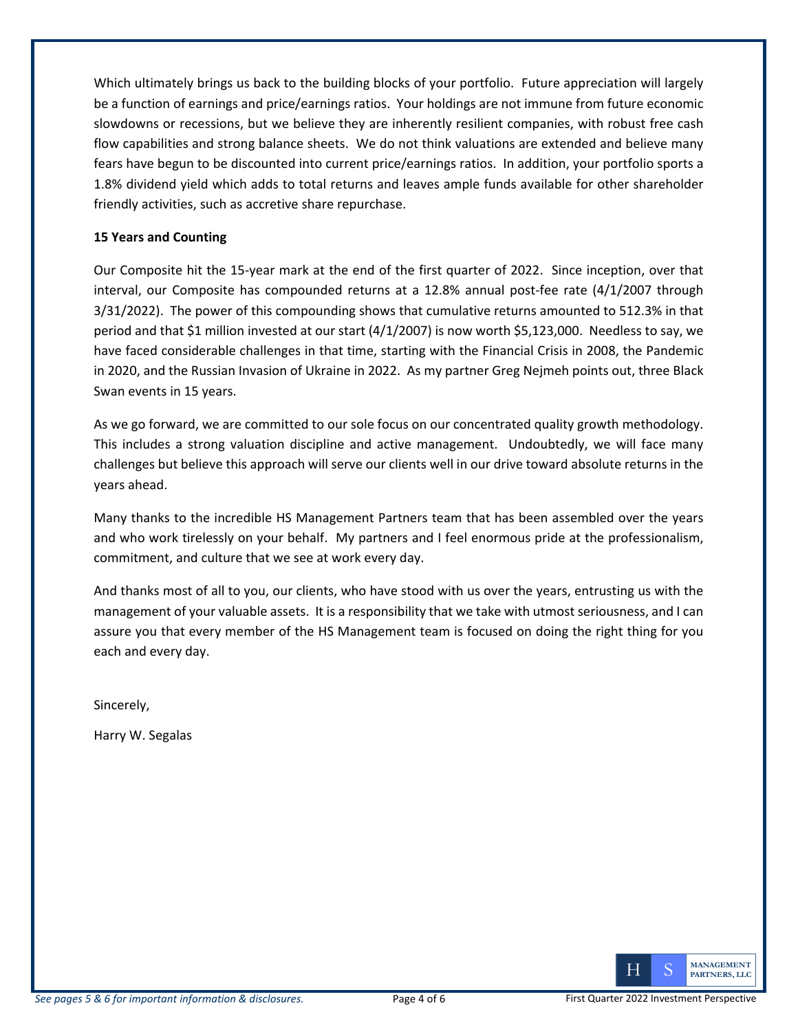Which ultimately brings us back to the building blocks of your portfolio. Future appreciation will largely be a function of earnings and price/earnings ratios. Your holdings are not immune from future economic slowdowns or recessions, but we believe they are inherently resilient companies, with robust free cash flow capabilities and strong balance sheets. We do not think valuations are extended and believe many fears have begun to be discounted into current price/earnings ratios. In addition, your portfolio sports a 1.8% dividend yield which adds to total returns and leaves ample funds available for other shareholder friendly activities, such as accretive share repurchase.

### **15 Years and Counting**

Our Composite hit the 15-year mark at the end of the first quarter of 2022. Since inception, over that interval, our Composite has compounded returns at a 12.8% annual post-fee rate (4/1/2007 through 3/31/2022). The power of this compounding shows that cumulative returns amounted to 512.3% in that period and that \$1 million invested at our start (4/1/2007) is now worth \$5,123,000. Needless to say, we have faced considerable challenges in that time, starting with the Financial Crisis in 2008, the Pandemic in 2020, and the Russian Invasion of Ukraine in 2022. As my partner Greg Nejmeh points out, three Black Swan events in 15 years.

As we go forward, we are committed to our sole focus on our concentrated quality growth methodology. This includes a strong valuation discipline and active management. Undoubtedly, we will face many challenges but believe this approach will serve our clients well in our drive toward absolute returns in the years ahead.

Many thanks to the incredible HS Management Partners team that has been assembled over the years and who work tirelessly on your behalf. My partners and I feel enormous pride at the professionalism, commitment, and culture that we see at work every day.

And thanks most of all to you, our clients, who have stood with us over the years, entrusting us with the management of your valuable assets. It is a responsibility that we take with utmost seriousness, and I can assure you that every member of the HS Management team is focused on doing the right thing for you each and every day.

Sincerely,

Harry W. Segalas

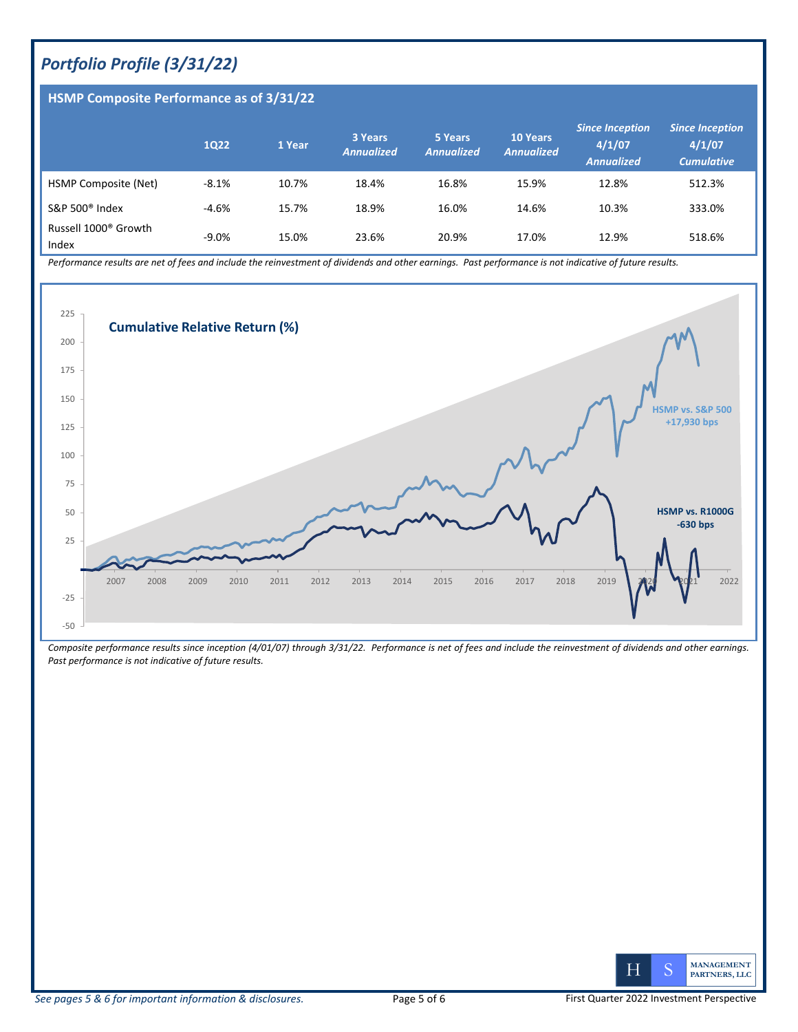## *Portfolio Profile (3/31/22)*

### **HSMP Composite Performance as of 3/31/22**

|                                           | <b>1Q22</b> | 1 Year | 3 Years<br><b>Annualized</b> | 5 Years<br><b>Annualized</b> | <b>10 Years</b><br><b>Annualized</b> | <b>Since Inception</b><br>4/1/07<br><b>Annualized</b> | <b>Since Inception</b><br>4/1/07<br><b>Cumulative</b> |
|-------------------------------------------|-------------|--------|------------------------------|------------------------------|--------------------------------------|-------------------------------------------------------|-------------------------------------------------------|
| HSMP Composite (Net)                      | $-8.1%$     | 10.7%  | 18.4%                        | 16.8%                        | 15.9%                                | 12.8%                                                 | 512.3%                                                |
| S&P 500 $^{\circ}$ Index                  | $-4.6%$     | 15.7%  | 18.9%                        | 16.0%                        | 14.6%                                | 10.3%                                                 | 333.0%                                                |
| Russell 1000 <sup>®</sup> Growth<br>Index | $-9.0%$     | 15.0%  | 23.6%                        | 20.9%                        | 17.0%                                | 12.9%                                                 | 518.6%                                                |

*Performance results are net of fees and include the reinvestment of dividends and other earnings. Past performance is not indicative of future results.* 



*Composite performance results since inception (4/01/07) through 3/31/22. Performance is net of fees and include the reinvestment of dividends and other earnings. Past performance is not indicative of future results.*